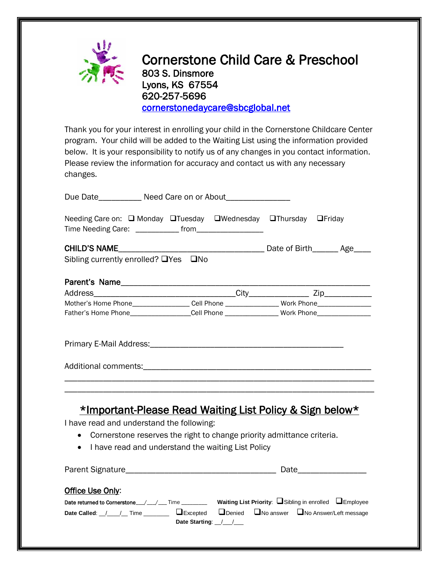

Cornerstone Child Care & Preschool 803 S. Dinsmore Lyons, KS 67554 620-257-5696 [cornerstonedaycare@sbcglobal.net](mailto:cornerstonedaycare@sbcglobal.net) 

Thank you for your interest in enrolling your child in the Cornerstone Childcare Center program. Your child will be added to the Waiting List using the information provided below. It is your responsibility to notify us of any changes in you contact information. Please review the information for accuracy and contact us with any necessary changes.

| Due Date__________ Need Care on or About_______________                                                                                                                                                                                                                    |  |  |
|----------------------------------------------------------------------------------------------------------------------------------------------------------------------------------------------------------------------------------------------------------------------------|--|--|
| Needing Care on: □ Monday □ Tuesday □ Wednesday □ Thursday □ Friday                                                                                                                                                                                                        |  |  |
|                                                                                                                                                                                                                                                                            |  |  |
| Sibling currently enrolled? □Yes □No                                                                                                                                                                                                                                       |  |  |
|                                                                                                                                                                                                                                                                            |  |  |
|                                                                                                                                                                                                                                                                            |  |  |
| Mother's Home Phone__________________Cell Phone ________________Work Phone_________________________                                                                                                                                                                        |  |  |
| Father's Home Phone__________________Cell Phone ________________Work Phone_________________________                                                                                                                                                                        |  |  |
|                                                                                                                                                                                                                                                                            |  |  |
|                                                                                                                                                                                                                                                                            |  |  |
| <u>*Important-Please Read Waiting List Policy &amp; Sign below*</u><br>I have read and understand the following:<br>Cornerstone reserves the right to change priority admittance criteria.<br>$\bullet$<br>I have read and understand the waiting List Policy<br>$\bullet$ |  |  |
|                                                                                                                                                                                                                                                                            |  |  |
| Office Use Only:<br>Date returned to Cornerstone_/_/__/ Time ________ Waiting List Priority: USibling in enrolled UEmployee<br>Date Called: _/___/_Time ___________ LExcepted LDenied LNo answer LNo Answer/Left message<br>Date Starting: ////                            |  |  |